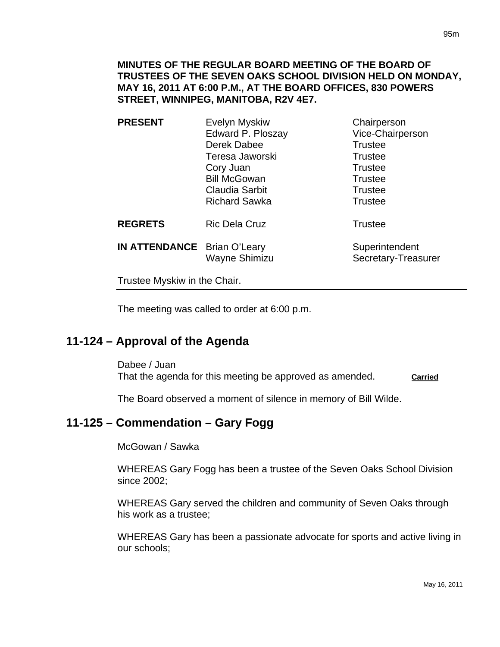**MINUTES OF THE REGULAR BOARD MEETING OF THE BOARD OF TRUSTEES OF THE SEVEN OAKS SCHOOL DIVISION HELD ON MONDAY, MAY 16, 2011 AT 6:00 P.M., AT THE BOARD OFFICES, 830 POWERS STREET, WINNIPEG, MANITOBA, R2V 4E7.** 

| <b>PRESENT</b>               | Evelyn Myskiw         | Chairperson                           |
|------------------------------|-----------------------|---------------------------------------|
|                              | Edward P. Ploszay     | Vice-Chairperson                      |
|                              | Derek Dabee           | <b>Trustee</b>                        |
|                              | Teresa Jaworski       | <b>Trustee</b>                        |
|                              | Cory Juan             | <b>Trustee</b>                        |
|                              | <b>Bill McGowan</b>   | <b>Trustee</b>                        |
|                              | <b>Claudia Sarbit</b> | <b>Trustee</b>                        |
|                              | <b>Richard Sawka</b>  | <b>Trustee</b>                        |
| <b>REGRETS</b>               | <b>Ric Dela Cruz</b>  | <b>Trustee</b>                        |
| IN ATTENDANCE Brian O'Leary  | Wayne Shimizu         | Superintendent<br>Secretary-Treasurer |
| Trustee Myskiw in the Chair. |                       |                                       |

The meeting was called to order at 6:00 p.m.

# **11-124 – Approval of the Agenda**

Dabee / Juan That the agenda for this meeting be approved as amended. **Carried** 

The Board observed a moment of silence in memory of Bill Wilde.

## **11-125 – Commendation – Gary Fogg**

McGowan / Sawka

WHEREAS Gary Fogg has been a trustee of the Seven Oaks School Division since 2002;

WHEREAS Gary served the children and community of Seven Oaks through his work as a trustee;

WHEREAS Gary has been a passionate advocate for sports and active living in our schools;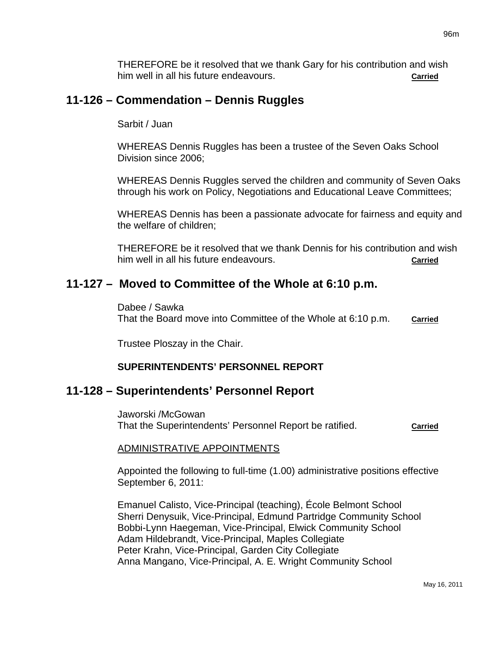THEREFORE be it resolved that we thank Gary for his contribution and wish him well in all his future endeavours. **Carried**

# **11-126 – Commendation – Dennis Ruggles**

#### Sarbit / Juan

WHEREAS Dennis Ruggles has been a trustee of the Seven Oaks School Division since 2006;

WHEREAS Dennis Ruggles served the children and community of Seven Oaks through his work on Policy, Negotiations and Educational Leave Committees;

WHEREAS Dennis has been a passionate advocate for fairness and equity and the welfare of children;

THEREFORE be it resolved that we thank Dennis for his contribution and wish him well in all his future endeavours. **Carried**

## **11-127 – Moved to Committee of the Whole at 6:10 p.m.**

Dabee / Sawka That the Board move into Committee of the Whole at 6:10 p.m. **Carried**

Trustee Ploszay in the Chair.

### **SUPERINTENDENTS' PERSONNEL REPORT**

## **11-128 – Superintendents' Personnel Report**

Jaworski /McGowan That the Superintendents' Personnel Report be ratified. **Carried**

## ADMINISTRATIVE APPOINTMENTS

Appointed the following to full-time (1.00) administrative positions effective September 6, 2011:

Emanuel Calisto, Vice-Principal (teaching), École Belmont School Sherri Denysuik, Vice-Principal, Edmund Partridge Community School Bobbi-Lynn Haegeman, Vice-Principal, Elwick Community School Adam Hildebrandt, Vice-Principal, Maples Collegiate Peter Krahn, Vice-Principal, Garden City Collegiate Anna Mangano, Vice-Principal, A. E. Wright Community School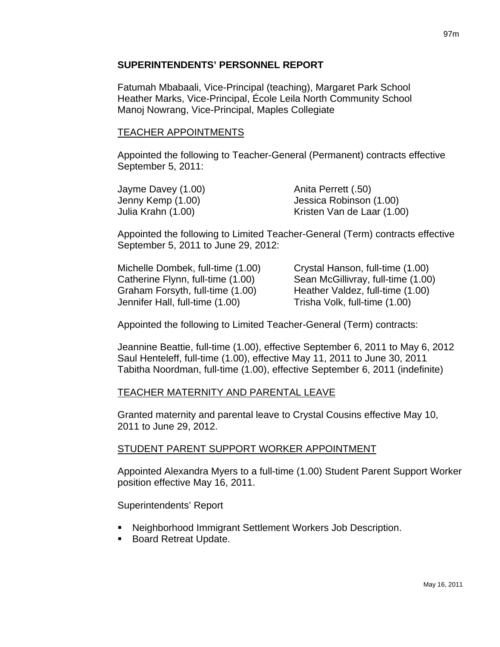### **SUPERINTENDENTS' PERSONNEL REPORT**

Fatumah Mbabaali, Vice-Principal (teaching), Margaret Park School Heather Marks, Vice-Principal, École Leila North Community School Manoj Nowrang, Vice-Principal, Maples Collegiate

### TEACHER APPOINTMENTS

Appointed the following to Teacher-General (Permanent) contracts effective September 5, 2011:

| Jayme Davey (1.00) | Anita Perrett (.50)        |
|--------------------|----------------------------|
| Jenny Kemp (1.00)  | Jessica Robinson (1.00)    |
| Julia Krahn (1.00) | Kristen Van de Laar (1.00) |

Appointed the following to Limited Teacher-General (Term) contracts effective September 5, 2011 to June 29, 2012:

| Michelle Dombek, full-time (1.00) | Crystal Hanson, full-time (1.00)   |
|-----------------------------------|------------------------------------|
| Catherine Flynn, full-time (1.00) | Sean McGillivray, full-time (1.00) |
| Graham Forsyth, full-time (1.00)  | Heather Valdez, full-time (1.00)   |
| Jennifer Hall, full-time (1.00)   | Trisha Volk, full-time (1.00)      |

Appointed the following to Limited Teacher-General (Term) contracts:

Jeannine Beattie, full-time (1.00), effective September 6, 2011 to May 6, 2012 Saul Henteleff, full-time (1.00), effective May 11, 2011 to June 30, 2011 Tabitha Noordman, full-time (1.00), effective September 6, 2011 (indefinite)

## TEACHER MATERNITY AND PARENTAL LEAVE

Granted maternity and parental leave to Crystal Cousins effective May 10, 2011 to June 29, 2012.

## STUDENT PARENT SUPPORT WORKER APPOINTMENT

Appointed Alexandra Myers to a full-time (1.00) Student Parent Support Worker position effective May 16, 2011.

Superintendents' Report

- Neighborhood Immigrant Settlement Workers Job Description.
- **Board Retreat Update.**